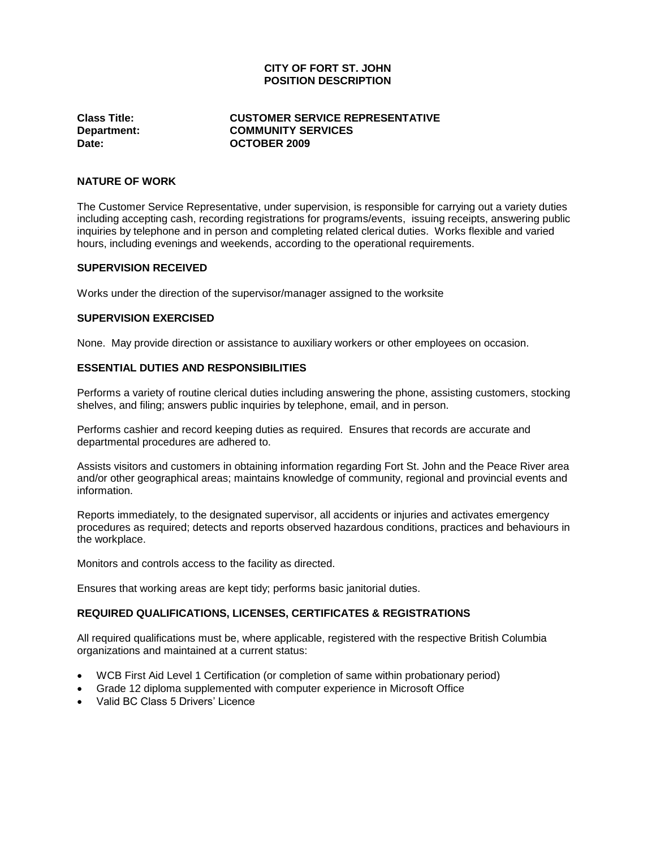# **CITY OF FORT ST. JOHN POSITION DESCRIPTION**

## **Class Title: CUSTOMER SERVICE REPRESENTATIVE Department: COMMUNITY SERVICES Date: OCTOBER 2009**

#### **NATURE OF WORK**

The Customer Service Representative, under supervision, is responsible for carrying out a variety duties including accepting cash, recording registrations for programs/events, issuing receipts, answering public inquiries by telephone and in person and completing related clerical duties. Works flexible and varied hours, including evenings and weekends, according to the operational requirements.

#### **SUPERVISION RECEIVED**

Works under the direction of the supervisor/manager assigned to the worksite

### **SUPERVISION EXERCISED**

None. May provide direction or assistance to auxiliary workers or other employees on occasion.

### **ESSENTIAL DUTIES AND RESPONSIBILITIES**

Performs a variety of routine clerical duties including answering the phone, assisting customers, stocking shelves, and filing; answers public inquiries by telephone, email, and in person.

Performs cashier and record keeping duties as required. Ensures that records are accurate and departmental procedures are adhered to.

Assists visitors and customers in obtaining information regarding Fort St. John and the Peace River area and/or other geographical areas; maintains knowledge of community, regional and provincial events and information.

Reports immediately, to the designated supervisor, all accidents or injuries and activates emergency procedures as required; detects and reports observed hazardous conditions, practices and behaviours in the workplace.

Monitors and controls access to the facility as directed.

Ensures that working areas are kept tidy; performs basic janitorial duties.

### **REQUIRED QUALIFICATIONS, LICENSES, CERTIFICATES & REGISTRATIONS**

All required qualifications must be, where applicable, registered with the respective British Columbia organizations and maintained at a current status:

- WCB First Aid Level 1 Certification (or completion of same within probationary period)
- Grade 12 diploma supplemented with computer experience in Microsoft Office
- Valid BC Class 5 Drivers' Licence